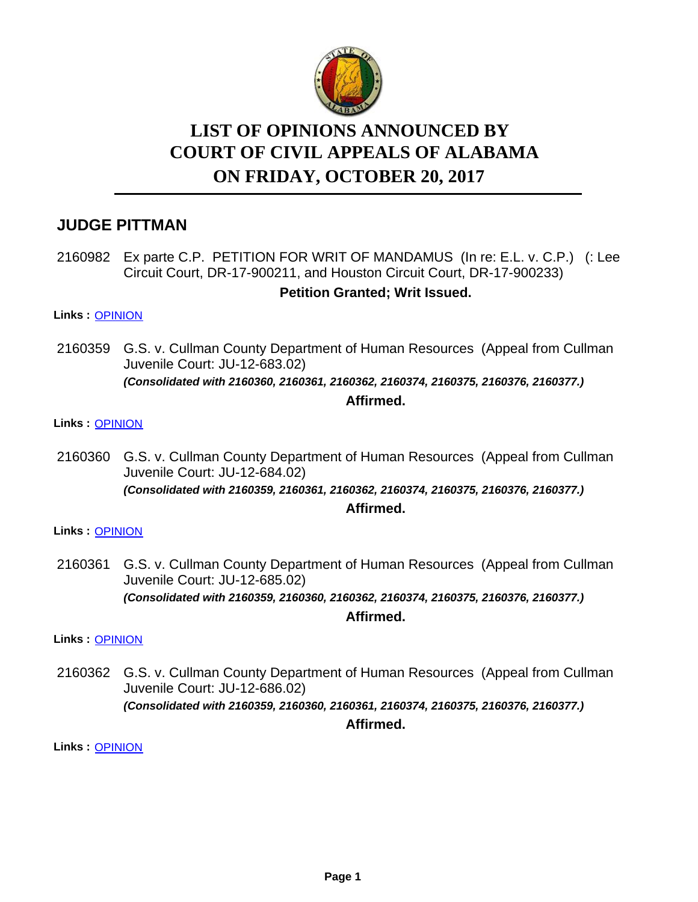

# **LIST OF OPINIONS ANNOUNCED BY ON FRIDAY, OCTOBER 20, 2017 COURT OF CIVIL APPEALS OF ALABAMA**

# **JUDGE PITTMAN**

2160982 Ex parte C.P. PETITION FOR WRIT OF MANDAMUS (In re: E.L. v. C.P.) (: Lee Circuit Court, DR-17-900211, and Houston Circuit Court, DR-17-900233) **Petition Granted; Writ Issued.**

#### **Links :** [OPINION](https://acis.alabama.gov/displaydocs.cfm?no=833554&event=51G0KARQJ)

2160359 G.S. v. Cullman County Department of Human Resources (Appeal from Cullman Juvenile Court: JU-12-683.02) *(Consolidated with 2160360, 2160361, 2160362, 2160374, 2160375, 2160376, 2160377.)*

**Affirmed.**

#### **Links :** [OPINION](https://acis.alabama.gov/displaydocs.cfm?no=833551&event=51G0KAR5B)

2160360 G.S. v. Cullman County Department of Human Resources (Appeal from Cullman Juvenile Court: JU-12-684.02) *(Consolidated with 2160359, 2160361, 2160362, 2160374, 2160375, 2160376, 2160377.)*

#### **Affirmed.**

**Links :** [OPINION](https://acis.alabama.gov/displaydocs.cfm?no=833551&event=51G0KAR5B)

2160361 G.S. v. Cullman County Department of Human Resources (Appeal from Cullman Juvenile Court: JU-12-685.02) *(Consolidated with 2160359, 2160360, 2160362, 2160374, 2160375, 2160376, 2160377.)*

**Affirmed.**

**Links :** [OPINION](https://acis.alabama.gov/displaydocs.cfm?no=833551&event=51G0KAR5B)

2160362 G.S. v. Cullman County Department of Human Resources (Appeal from Cullman Juvenile Court: JU-12-686.02) *(Consolidated with 2160359, 2160360, 2160361, 2160374, 2160375, 2160376, 2160377.)*

**Affirmed.**

**Links :** [OPINION](https://acis.alabama.gov/displaydocs.cfm?no=833551&event=51G0KAR5B)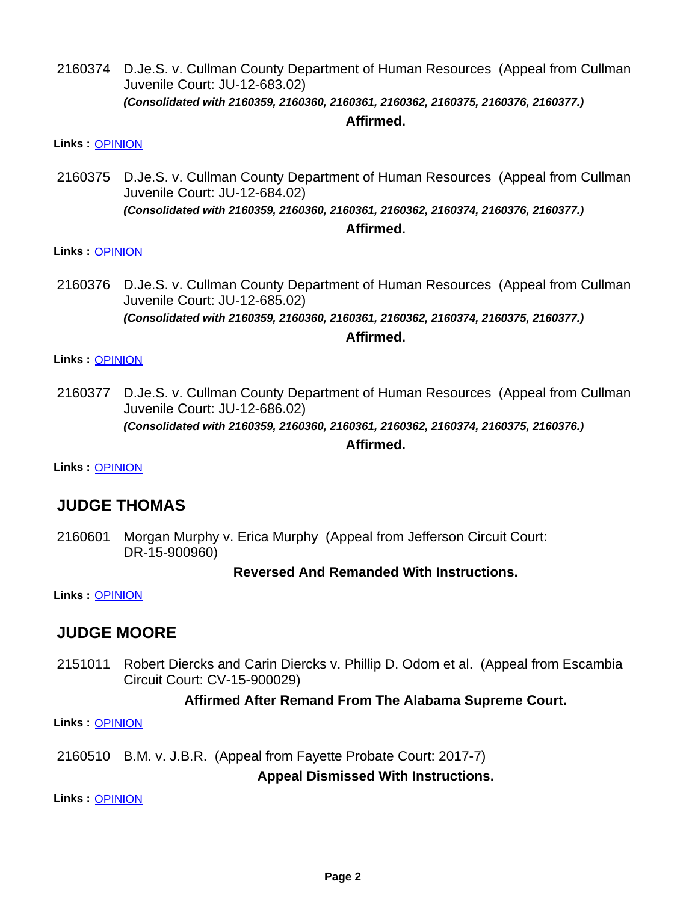2160374 D.Je.S. v. Cullman County Department of Human Resources (Appeal from Cullman Juvenile Court: JU-12-683.02) *(Consolidated with 2160359, 2160360, 2160361, 2160362, 2160375, 2160376, 2160377.)*

#### **Affirmed.**

**Links :** [OPINION](https://acis.alabama.gov/displaydocs.cfm?no=833551&event=51G0KAR5B)

2160375 D.Je.S. v. Cullman County Department of Human Resources (Appeal from Cullman Juvenile Court: JU-12-684.02) *(Consolidated with 2160359, 2160360, 2160361, 2160362, 2160374, 2160376, 2160377.)*

#### **Affirmed.**

#### **Links :** [OPINION](https://acis.alabama.gov/displaydocs.cfm?no=833551&event=51G0KAR5B)

2160376 D.Je.S. v. Cullman County Department of Human Resources (Appeal from Cullman Juvenile Court: JU-12-685.02) *(Consolidated with 2160359, 2160360, 2160361, 2160362, 2160374, 2160375, 2160377.)*

#### **Affirmed.**

#### **Links :** [OPINION](https://acis.alabama.gov/displaydocs.cfm?no=833551&event=51G0KAR5B)

D.Je.S. v. Cullman County Department of Human Resources (Appeal from Cullman Juvenile Court: JU-12-686.02) *(Consolidated with 2160359, 2160360, 2160361, 2160362, 2160374, 2160375, 2160376.)* 2160377

#### **Affirmed.**

**Links :** [OPINION](https://acis.alabama.gov/displaydocs.cfm?no=833551&event=51G0KAR5B)

# **JUDGE THOMAS**

Morgan Murphy v. Erica Murphy (Appeal from Jefferson Circuit Court: DR-15-900960) 2160601

**Reversed And Remanded With Instructions.**

**Links :** [OPINION](https://acis.alabama.gov/displaydocs.cfm?no=833553&event=51G0KARMM)

# **JUDGE MOORE**

2151011 Robert Diercks and Carin Diercks v. Phillip D. Odom et al. (Appeal from Escambia Circuit Court: CV-15-900029)

### **Affirmed After Remand From The Alabama Supreme Court.**

**Links :** [OPINION](https://acis.alabama.gov/displaydocs.cfm?no=833549&event=51G0KAQUW)

2160510 B.M. v. J.B.R. (Appeal from Fayette Probate Court: 2017-7)

**Appeal Dismissed With Instructions.**

**Links :** [OPINION](https://acis.alabama.gov/displaydocs.cfm?no=833552&event=51G0KARIA)